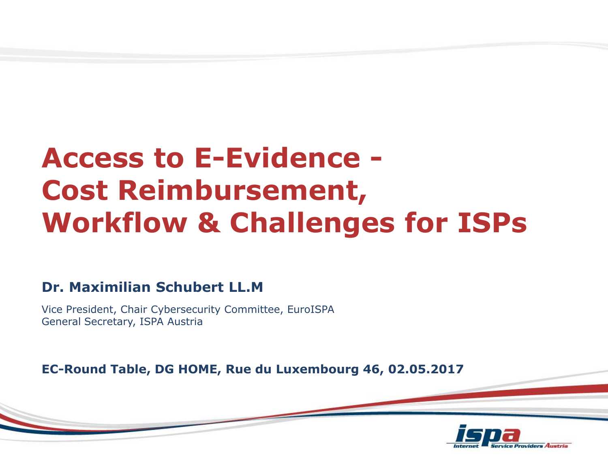# **Access to E-Evidence - Cost Reimbursement, Workflow & Challenges for ISPs**

#### **Dr. Maximilian Schubert LL.M**

Vice President, Chair Cybersecurity Committee, EuroISPA General Secretary, ISPA Austria

**EC-Round Table, DG HOME, Rue du Luxembourg 46, 02.05.2017**

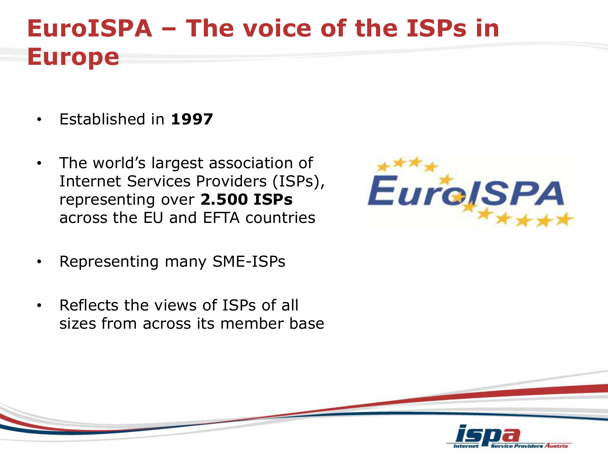#### **EuroISPA – The voice of the ISPs in Europe**

- Established in **1997**
- The world's largest association of Internet Services Providers (ISPs), representing over **2.500 ISPs**  across the EU and EFTA countries
- Representing many SME-ISPs
- Reflects the views of ISPs of all sizes from across its member base



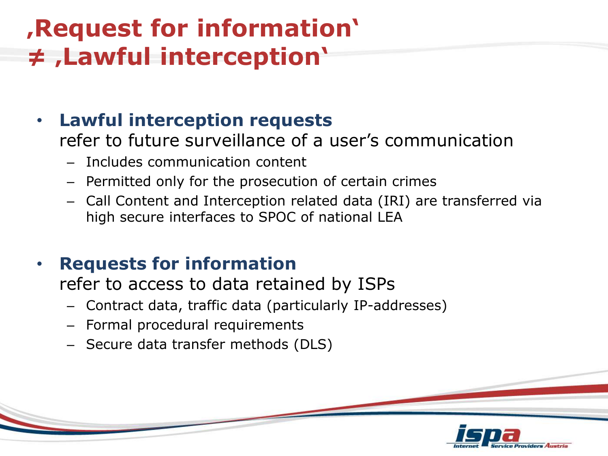### **'Request for information' ≠ 'Lawful interception'**

#### • **Lawful interception requests**

refer to future surveillance of a user's communication

- Includes communication content
- Permitted only for the prosecution of certain crimes
- Call Content and Interception related data (IRI) are transferred via high secure interfaces to SPOC of national LEA

#### • **Requests for information**

refer to access to data retained by ISPs

- Contract data, traffic data (particularly IP-addresses)
- Formal procedural requirements
- Secure data transfer methods (DLS)

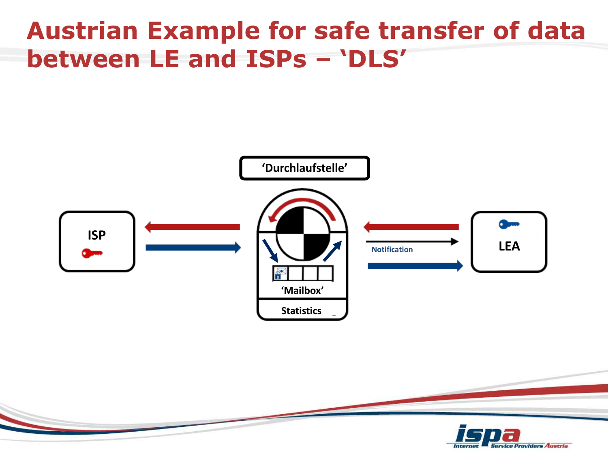#### **Austrian Example for safe transfer of data between LE and ISPs – 'DLS'**

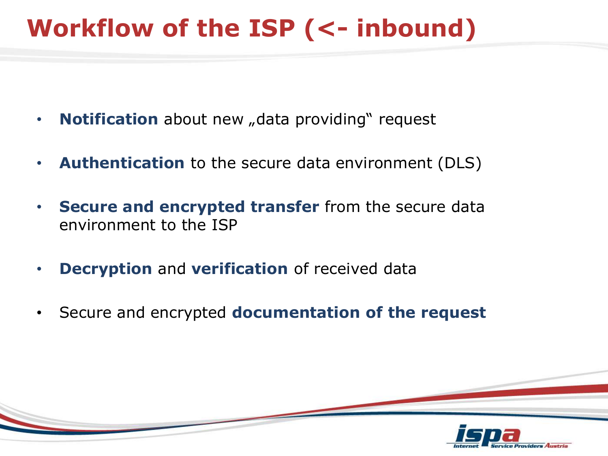# **Workflow of the ISP (<- inbound)**

- **Notification** about new "data providing" request
- **Authentication** to the secure data environment (DLS)
- **Secure and encrypted transfer** from the secure data environment to the ISP
- **Decryption** and **verification** of received data
- Secure and encrypted **documentation of the request**

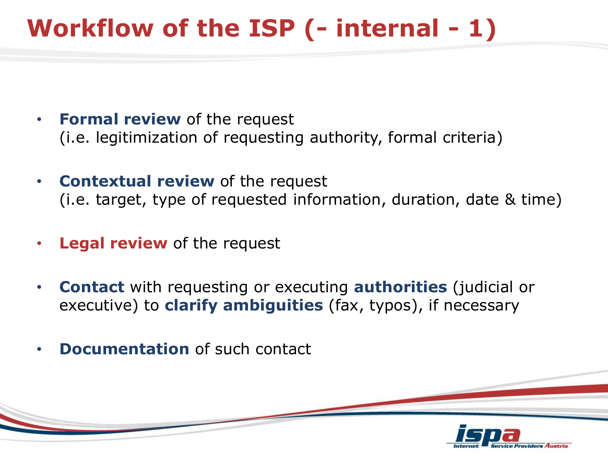# **Workflow of the ISP (- internal - 1)**

- **Formal review** of the request (i.e. legitimization of requesting authority, formal criteria)
- **Contextual review** of the request (i.e. target, type of requested information, duration, date & time)
- **Legal review** of the request
- **Contact** with requesting or executing **authorities** (judicial or executive) to **clarify ambiguities** (fax, typos), if necessary
- **Documentation** of such contact

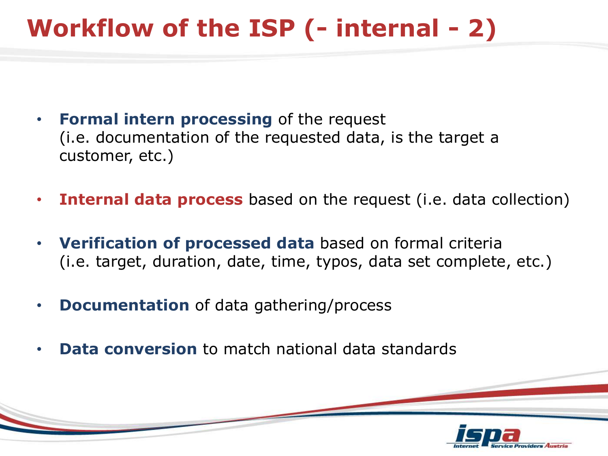# **Workflow of the ISP (- internal - 2)**

- **Formal intern processing** of the request (i.e. documentation of the requested data, is the target a customer, etc.)
- **Internal data process** based on the request (i.e. data collection)
- **Verification of processed data** based on formal criteria (i.e. target, duration, date, time, typos, data set complete, etc.)
- **Documentation** of data gathering/process
- **Data conversion** to match national data standards

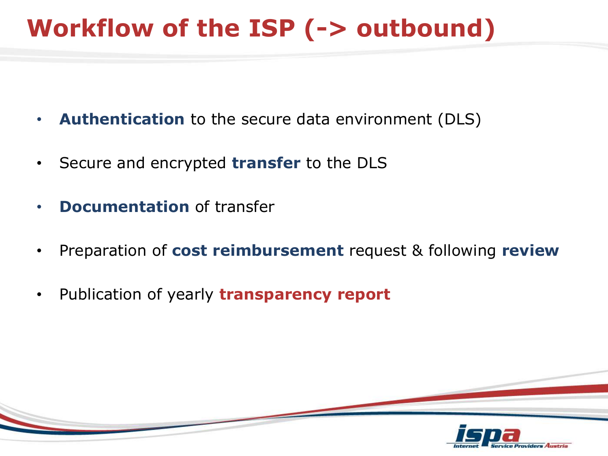# **Workflow of the ISP (-> outbound)**

- **Authentication** to the secure data environment (DLS)
- Secure and encrypted **transfer** to the DLS
- **Documentation** of transfer
- Preparation of **cost reimbursement** request & following **review**
- Publication of yearly **transparency report**

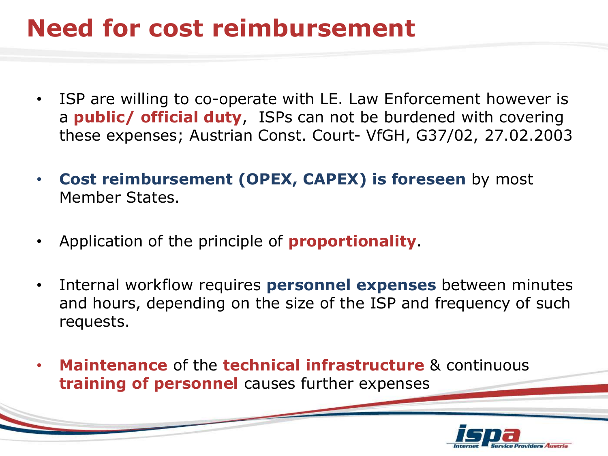## **Need for cost reimbursement**

- ISP are willing to co-operate with LE. Law Enforcement however is a **public/ official duty**, ISPs can not be burdened with covering these expenses; Austrian Const. Court- VfGH, G37/02, 27.02.2003
- **Cost reimbursement (OPEX, CAPEX) is foreseen** by most Member States.
- Application of the principle of **proportionality**.
- Internal workflow requires **personnel expenses** between minutes and hours, depending on the size of the ISP and frequency of such requests.
- **Maintenance** of the **technical infrastructure** & continuous **training of personnel** causes further expenses

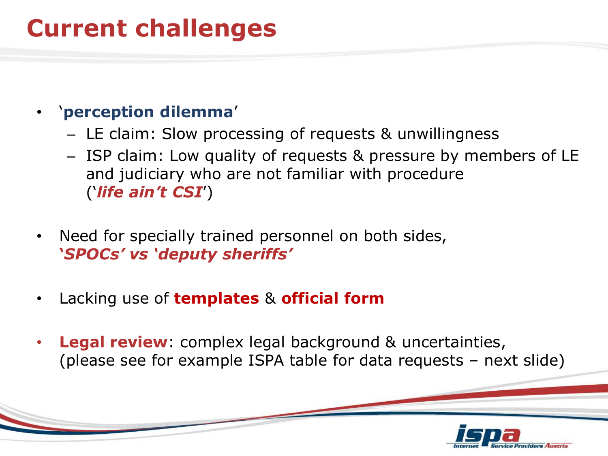#### **Current challenges**

#### • '**perception dilemma**'

- LE claim: Slow processing of requests & unwillingness
- ISP claim: Low quality of requests & pressure by members of LE and judiciary who are not familiar with procedure ('*life ain't CSI*')
- Need for specially trained personnel on both sides, **'***SPOCs' vs 'deputy sheriffs'*
- Lacking use of **templates** & **official form**
- **Legal review**: complex legal background & uncertainties, (please see for example ISPA table for data requests – next slide)

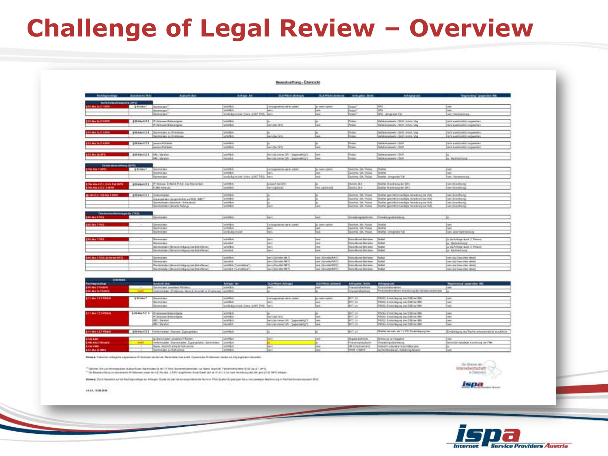## **Challenge of Legal Review – Overview**

#### Beauxkunftung - Übersicht

|                                                                | <b>SHOWWAY</b> (THE)           | August des                                                                                                                                          | Arkay, 34                                                                       | <b>CLS-PELSI MeRoger</b>                                                                      | <b>CLAPSIFICATION Achipers Toth</b>                                                      |                                                                                                                                | Antique ent                                                                                                                                                                                               | Taylorkey" (expected 9%)                                                                                                        |
|----------------------------------------------------------------|--------------------------------|-----------------------------------------------------------------------------------------------------------------------------------------------------|---------------------------------------------------------------------------------|-----------------------------------------------------------------------------------------------|------------------------------------------------------------------------------------------|--------------------------------------------------------------------------------------------------------------------------------|-----------------------------------------------------------------------------------------------------------------------------------------------------------------------------------------------------------|---------------------------------------------------------------------------------------------------------------------------------|
| Screenwaters and pro-                                          |                                |                                                                                                                                                     |                                                                                 |                                                                                               |                                                                                          |                                                                                                                                |                                                                                                                                                                                                           |                                                                                                                                 |
| <b>IN ALL STERN</b>                                            | <b>BRANKT</b>                  | Guarante apert<br><b>Discrimination</b><br><b>Distributed About</b>                                                                                 | pole (FBuly<br>sale (Marin<br>correspondent that a sent two lower               | introversimal services!                                                                       | a. menintaken<br>m<br>$\overline{a}$                                                     | Perisan?<br><b>Exited</b><br>Pose!                                                                                             | jans.<br><b>SPG</b><br><b>SPG - dispersion Fall</b>                                                                                                                                                       | m<br>w.<br>art Rentmittung                                                                                                      |
| <b>STALETING</b>                                               |                                | 19938-124 Pricemen Schemister<br>Princesser Enteringent                                                                                             | accentación<br>someon                                                           | h.<br><b>Individue 2011</b>                                                                   | m                                                                                        | <b>Project</b><br><b>Priest</b>                                                                                                | Calaimators, 'DOI-lane, Via<br>Dehaltersamente / SAR Historic Vila                                                                                                                                        | and a government companies of<br>rand a workships compensive a                                                                  |
| <b>ATT MAIN 21879</b>                                          |                                | 999 Akr 1.2 4 : Illisometers (c) P-Atlesse<br>Metered says to 91-Address:                                                                           | pointing.<br>artefrikits.                                                       | lu.<br><b>Inch Be Sim</b>                                                                     | <b>No.</b>                                                                               | Prime.<br><b>Voice</b>                                                                                                         | rent processing the contract of the<br>ishemosheers (\$AH-terms Vb)                                                                                                                                       | 1811 A JACOUMET, ISLAMITACL<br>NEW Automobile Committee                                                                         |
| <b>LULAN &amp; TABRE</b>                                       | 198 Aus 1.2.1                  | painting Padrigues<br>pack a full area                                                                                                              | sole (like)<br>sich diffusiv                                                    | ы<br><b>Red-Liber 2011</b>                                                                    | ima.                                                                                     | Present<br><b>Franc</b>                                                                                                        | Cashahaan pada pada 195,000<br>labdramaturdis (SAM                                                                                                                                                        | 1991 a procedular incomplete<br>and a activation responsible to                                                                 |
| <b><i><u>ERLACEME</u></i></b>                                  | \$19,644.5.2.3   PASI Standard | <b><i>WELL SNICKING</i></b>                                                                                                                         | <b>WARED</b><br>minest                                                          | Frankermann, Vol. 1993 Blooding<br>ministermanik/ - September's                               | l mit-<br><b>MARK</b>                                                                    | Police:<br><b>Designation</b>                                                                                                  | Getwie wrachwein, 1984)<br>Cetatramateura (GAA)                                                                                                                                                           | is chartractural                                                                                                                |
| <b>Stationagement (MFG)</b><br><b>ETRA HIM T. NOW</b>          | <b>BRIANNY</b>                 | Discorted alleys<br>AA19116 (ALL                                                                                                                    | starts Williams<br>uterintur.                                                   | <b>SOURISHER WHILE RAY</b>                                                                    | A MAYOREA<br>m                                                                           | Gentle, SA, Police<br><b>Geldrick, SM, Philips</b>                                                                             | <b>Director</b><br><b>Harton</b>                                                                                                                                                                          | $-$<br>w                                                                                                                        |
| <b>STAIRING EXICE For NPR</b><br><b>STRA ROLLES &amp; BIRD</b> | 8.9% Miles N.Z. B              | Diametruk asus<br>(#1-4crocus, C-Hol & P.A.E. buy/Marketview<br><b>EAST-ATMAKE</b>                                                                  | soriologisticat (vew 6947 1951) been<br>scribe (1961)<br><b>GATES</b>           | <b>GALAGIA MATERS</b><br>Dentisation of                                                       | $\overline{a}$<br>HAR JUDICIONS                                                          | Gettimas, GA, Philippi<br><b>Bookley, 26-4</b><br><b>Gentler, Stub</b>                                                         | Strate Amgesty Far<br>brattal (Indollazio) dei DIRI<br>Institute photostrausg clair Stati                                                                                                                 | wit - Rectraintiers<br>we investment<br>will shratchlitician                                                                    |
| <b>BE THE 2.2/ FOR ARM 2 BARG</b>                              | AVEAUTZT TORONDOM              | color constitution international and MSSL MMST<br>Barelovkisten (Watertok / Boltzubrat)<br>Mandorkisken jakourke Perlung                            | $-1000$<br>achildren.<br>unterlikin<br>WARRIV                                   | <b>Daniel</b>                                                                                 | <b>Hair</b>                                                                              | <b>WARR OR POINT</b><br>Denturing, New President<br>Gerichte, D.A. Police<br>Gerichte, SA, Public                              | lingful garmittencounties levantuag for SWL<br>braftat (percelebricaalitys Jerestron) Air 934<br>Direttel (percrécirionnéligie facinénais) der Kali<br>Thraftal (panches/Ficheentigh) Amondmunic flor TDA | <b>WIT IRVANESCAL</b><br>with processing and<br>min ülenekkorg/<br>we Andership                                                 |
| collection provide 17415                                       |                                | Signature ages                                                                                                                                      | www.                                                                            | <b><i><u>howers</u></i></b>                                                                   | Track-                                                                                   |                                                                                                                                | <b>Strashoppening</b> Wreatypolishing                                                                                                                                                                     | m                                                                                                                               |
| <b>IN ALT NO</b>                                               |                                | <b>Distances</b><br><b>BANKING</b><br><b>Bankhit dem</b>                                                                                            | sale (Malin<br><b>Hallman</b><br>with Ary Incom                                 | consistential and content<br><b>No.2</b><br><b>Staglio's</b>                                  | la associated<br><b>SEA</b><br><b>GREE</b>                                               | <b>Generick M.K. Pulsee</b><br>Gelshie GA Police<br>General OA Police                                                          | <b>Distances</b><br><b>Institut</b><br>Tinghal - She proba Far                                                                                                                                            | <b>Logica</b><br>w<br>with all on Thierds exciting to                                                                           |
| <b>EM MATTRE</b>                                               |                                | <b>Services</b><br><b>Barrolane</b><br>Standardsberg Renaufstrang and Brand Money<br>The entertains : the rechnicities its line that of he art.     | which have<br><b>All All A</b><br>solerlikels<br><b>MONEY</b>                   | <b>Darry</b><br><b>MEDIA</b><br>juro.<br><b>Date</b>                                          | <b>Legal</b><br>m<br>mi<br><b>Tar</b>                                                    | <b>Trainer # Kinstal Race grows</b><br><b>National Amende Stations</b><br>Instructured Generates<br><b>Industriana</b> Bankers | <b>Distribute</b><br><b>Thinghair</b><br><b>Numer</b><br><b>Studies!</b>                                                                                                                                  | is the Articulat down J. Tweene<br>a chlachnaithead<br>in Marketings start 2. Person-<br>A Networking                           |
| <b>THE MACHINEERING COMPANY</b>                                |                                | <b>Barenskape</b><br><b>Samuel des</b><br>Six-storandom discussion regular con their of he well<br>Standard Adv - Remodel (19 g/m) The Bob of Small | weller.<br><b>MONTH</b><br>sciedibilis Customerica")<br>location To transition? | Nov Arrest (ST)<br><b>Date: Club-side: 1977</b><br>Michigan Michigan 1977<br>win Schedul 1671 | new January LRT<br>Levil, Chicagonica, SJRT<br>IRE (Scrolled SST)<br>and Childrenha 8011 | toro Hond Bryane<br>colorada e sali faze e alcorado<br>content data poste da conten-<br>stubbook Between Blutter               | <b>Bushall</b><br><b>Gaulhal</b><br><b>India</b> l                                                                                                                                                        | are the Concerner dentity<br>ness (Fig Cirena (File) riboutil.<br>ness also lives a little released<br>net are finesy than deem |

|                                    |                                                        | <b>Anti-Aller</b>                    | Advance Ad                                                                                                                                                                                                                                                                       | <b>DL3-Philips Life/International</b>                                                                                                                           | <b>GLS-PRAIN (Sedan)</b>                                                                         | Adirective State                | <b>Advertisin</b>                                                                                                    | "Begripping" (page information)                                                                                                                                                                                                                                                                                                                                             |
|------------------------------------|--------------------------------------------------------|--------------------------------------|----------------------------------------------------------------------------------------------------------------------------------------------------------------------------------------------------------------------------------------------------------------------------------|-----------------------------------------------------------------------------------------------------------------------------------------------------------------|--------------------------------------------------------------------------------------------------|---------------------------------|----------------------------------------------------------------------------------------------------------------------|-----------------------------------------------------------------------------------------------------------------------------------------------------------------------------------------------------------------------------------------------------------------------------------------------------------------------------------------------------------------------------|
|                                    |                                                        | <b>Sarehalako jahotetea Pformeri</b> |                                                                                                                                                                                                                                                                                  |                                                                                                                                                                 |                                                                                                  | <b><i>STRINGER STRINGER</i></b> | To any policies make secure                                                                                          |                                                                                                                                                                                                                                                                                                                                                                             |
| <b>STRAIG BLOODIE</b>              |                                                        |                                      |                                                                                                                                                                                                                                                                                  |                                                                                                                                                                 |                                                                                                  | Fring as at of service          |                                                                                                                      |                                                                                                                                                                                                                                                                                                                                                                             |
|                                    |                                                        |                                      |                                                                                                                                                                                                                                                                                  |                                                                                                                                                                 |                                                                                                  |                                 |                                                                                                                      |                                                                                                                                                                                                                                                                                                                                                                             |
|                                    | <b>&amp; MEJANA T</b>                                  |                                      | sure (Ric                                                                                                                                                                                                                                                                        | Www.commission.com                                                                                                                                              | L. MARY LUXERA                                                                                   | BV1.48                          |                                                                                                                      | <b>COMMER</b>                                                                                                                                                                                                                                                                                                                                                               |
|                                    |                                                        |                                      |                                                                                                                                                                                                                                                                                  |                                                                                                                                                                 |                                                                                                  |                                 |                                                                                                                      | ÷                                                                                                                                                                                                                                                                                                                                                                           |
|                                    |                                                        | <b>Variation</b>                     |                                                                                                                                                                                                                                                                                  |                                                                                                                                                                 |                                                                                                  | BV1.23                          | 219 III, Emerican Ive 236 to 1841                                                                                    | <b>CARD</b>                                                                                                                                                                                                                                                                                                                                                                 |
|                                    |                                                        |                                      |                                                                                                                                                                                                                                                                                  |                                                                                                                                                                 |                                                                                                  |                                 |                                                                                                                      |                                                                                                                                                                                                                                                                                                                                                                             |
| <b>EXTRA 121PMG</b>                |                                                        |                                      |                                                                                                                                                                                                                                                                                  |                                                                                                                                                                 |                                                                                                  |                                 |                                                                                                                      | <b>Laked</b>                                                                                                                                                                                                                                                                                                                                                                |
|                                    |                                                        |                                      |                                                                                                                                                                                                                                                                                  | Josin Jan DVV                                                                                                                                                   |                                                                                                  |                                 | PASS, treatment may be 230 to ME.                                                                                    | come.                                                                                                                                                                                                                                                                                                                                                                       |
|                                    |                                                        |                                      |                                                                                                                                                                                                                                                                                  |                                                                                                                                                                 |                                                                                                  | <b>BYT IX</b>                   |                                                                                                                      | <b>COMPANY</b>                                                                                                                                                                                                                                                                                                                                                              |
|                                    |                                                        |                                      |                                                                                                                                                                                                                                                                                  |                                                                                                                                                                 |                                                                                                  |                                 |                                                                                                                      | <b>Call</b>                                                                                                                                                                                                                                                                                                                                                                 |
|                                    |                                                        |                                      |                                                                                                                                                                                                                                                                                  |                                                                                                                                                                 |                                                                                                  |                                 |                                                                                                                      |                                                                                                                                                                                                                                                                                                                                                                             |
|                                    |                                                        |                                      | ALCOHOL: Y                                                                                                                                                                                                                                                                       |                                                                                                                                                                 |                                                                                                  | But Lin                         |                                                                                                                      | Ensembarg as Riche-Internetwick students                                                                                                                                                                                                                                                                                                                                    |
|                                    |                                                        |                                      |                                                                                                                                                                                                                                                                                  |                                                                                                                                                                 |                                                                                                  |                                 |                                                                                                                      |                                                                                                                                                                                                                                                                                                                                                                             |
|                                    |                                                        |                                      |                                                                                                                                                                                                                                                                                  |                                                                                                                                                                 |                                                                                                  |                                 |                                                                                                                      | $-$                                                                                                                                                                                                                                                                                                                                                                         |
| <b><i><u>SHR-RALLWOODS</u></i></b> |                                                        |                                      |                                                                                                                                                                                                                                                                                  |                                                                                                                                                                 |                                                                                                  |                                 |                                                                                                                      | Geraldish brackula Annibium, dar Plat.                                                                                                                                                                                                                                                                                                                                      |
|                                    |                                                        |                                      |                                                                                                                                                                                                                                                                                  |                                                                                                                                                                 |                                                                                                  |                                 |                                                                                                                      |                                                                                                                                                                                                                                                                                                                                                                             |
|                                    |                                                        | Starministers to Than anonar         | colorado en                                                                                                                                                                                                                                                                      |                                                                                                                                                                 |                                                                                                  | Indian Objects'                 | instruments and Artificate Newton                                                                                    | w                                                                                                                                                                                                                                                                                                                                                                           |
|                                    | 日化加林<br><b>STEADARD PERCE</b><br><b>ETFAILTET PICO</b> | <b>BALL</b>                          | <b>Birming</b><br>& 99-Ala-5-2 3   IF Attraces Guest tipics<br>7 Amount Bibarcigns<br>WELL Starking<br>IMSI, She's full!<br>699 ANIS 21 THALMSDER, DWIST Zackgrown<br>Tax Statemaker (weeken/PAU/on)<br>teletrate Darktee Luxipler, breeze<br>Nano, Assolute artisted Policymore | No Auto Library (P) Admission, Names & Asia (VVT) by W-Admission<br>Lide PALA<br><b>ANTES</b><br>porte effet co<br>----<br>winds."<br>ALIMBER<br><b>WARRANT</b> | contraction for 1987 TMI Two<br>Devicos come SIV Conservancy ?<br>pervise mean for - bearisetts. |                                 | <b>JAVT.12</b><br>BVT.U<br>BVT.1d<br>BIVY, LE<br>Pounde Ave 2 At<br><b>The lense top about</b><br><b>IF SOUDWOOK</b> | Pleasantha below America and Season reporters<br>(PSUIL Entachingung das DSE bei 1900)<br>(FSLIG, Ennaumques) risk 2181 au 1841<br>(POIS), Ensigniguig (ex 218) for the<br>PRELL Ernsträgung des 238 bei 860<br>2010). Ernestegge se 336 brider<br>Sida mineral LTS Engineering<br>Diffeoliate versities about<br><b>WeekrynDorritory</b><br>AND 671 URBS BODY GREENING WAS |

Rimsell, Standier verlag die zigenisse of Adriano verdel es. Spranklandet aukst. Synansie if Adriano verden als Zuprigebannen anten

<sup>12</sup> daube. Bé un fremential Abbarbine Barenone (J.R.) (1988). Roarbetternter na fare, Austria fabarmeare (J.R.) (2014). 1993<br><sup>12</sup> De locaturing un ananche P-Atomo com de et Na de 1999 a primer fountant is fact Attitud na

Winnerski [Sydd Macekick auf the Rechtsprofitige der Anlegen Signie Ai oder die komponisierede Nerman 190 (Spalent B) gebrupen Security auf persingen Bestimmung im Pacifickheitensprent (RS).



ispa

+141.600.000

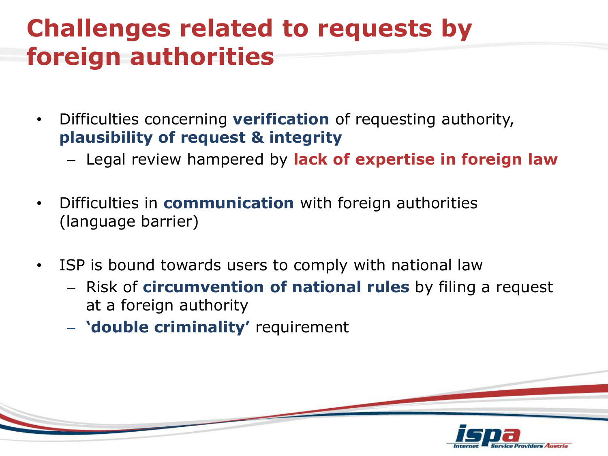#### **Challenges related to requests by foreign authorities**

- Difficulties concerning **verification** of requesting authority, **plausibility of request & integrity** 
	- Legal review hampered by **lack of expertise in foreign law**
- Difficulties in **communication** with foreign authorities (language barrier)
- ISP is bound towards users to comply with national law
	- Risk of **circumvention of national rules** by filing a request at a foreign authority
	- **'double criminality'** requirement